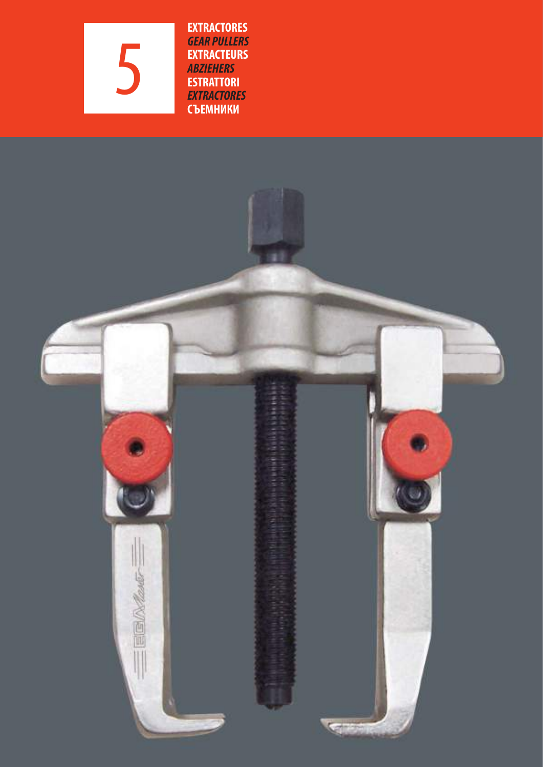5

**EXTRACTORES GEAR PULLERS EXTRACTEURS ABZIEHERS ESTRATTORI EXTRACTORES СЪЕМНИКИ**

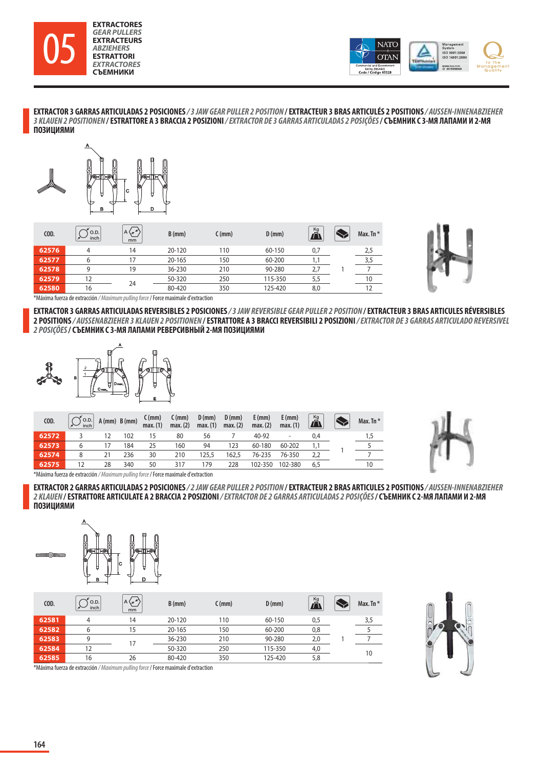



**EXTRACTOR 3 GARRAS ARTICULADAS 2 POSICIONES / 3 JAW GEAR PULLER 2 POSITION / EXTRACTEUR 3 BRAS ARTICULÉS 2 POSITIONS / AUSSEN-INNENABZIEHER 3 KLAUEN 2 POSITIONEN / ESTRATTORE A 3 BRACCIA 2 POSIZIONI / EXTRACTOR DE 3 GARRAS ARTICULADAS 2 POSIÇÕES / СЪЕМНИК С 3-МЯ ЛАПАМИ И 2-МЯ ПОЗИЦИЯМИ**



| COD.  | O.D.<br>inch | $A \setminus r$<br>mm | $B$ (mm) | $C$ (mm) | $D$ (mm) | Kg<br>Ã | Max. Tn $*$ |
|-------|--------------|-----------------------|----------|----------|----------|---------|-------------|
| 62576 | 4            | 14                    | 20-120   | 110      | 60-150   | 0,7     | 2,5         |
| 62577 | 6            | 17                    | 20-165   | 150      | 60-200   |         |             |
| 62578 | a            | 19                    | 36-230   | 210      | 90-280   | 2,7     |             |
| 62579 | 12           | 24                    | 50-320   | 250      | 115-350  | 5,5     | 10          |
| 62580 | 16           |                       | 80-420   | 350      | 125-420  | 8,0     |             |



\*Máxima fuerza de extracción / Maximum pulling force / Force maximale d'extraction

**EXTRACTOR 3 GARRAS ARTICULADAS REVERSIBLES 2 POSICIONES / 3 JAW REVERSIBLE GEAR PULLER 2 POSITION / EXTRACTEUR 3 BRAS ARTICULES RÉVERSIBLES 2 POSITIONS / AUSSENABZIEHER 3 KLAUEN 2 POSITIONEN / ESTRATTORE A 3 BRACCI REVERSIBILI 2 POSIZIONI / EXTRACTOR DE 3 GARRAS ARTICULADO REVERSIVEL 2 POSIÇÕES / СЪЕМНИК С 3-МЯ ЛАПАМИ РЕВЕРСИВНЫЙ 2-МЯ ПОЗИЦИЯМИ**



| COD.  | $\begin{bmatrix} 0.D. \\ inch \end{bmatrix}$ |    | A (mm) B (mm) | $C$ (mm)<br>max. (1) | $C$ (mm)<br>max.(2) | $D$ (mm)<br>max.(1) | $D$ (mm)<br>max.(2) | $E$ (mm)<br>max.(2) | $E$ (mm)<br>max.(1) | $\tilde{\mathbf{\Pi}}$ | Max. Tn * |
|-------|----------------------------------------------|----|---------------|----------------------|---------------------|---------------------|---------------------|---------------------|---------------------|------------------------|-----------|
| 62572 |                                              |    | 102           | 15                   | 80                  | 56                  |                     | 40-92               |                     | 0,4                    | 1.5       |
| 62573 | 6                                            |    | 184           | 25                   | 160                 | 94                  | 123                 | 60-180              | 60-202              |                        |           |
| 62574 | 8                                            | 21 | 236           | 30                   | 210                 | 125,5               | 162,5               | 76-235              | 76-350              | 2,2                    |           |
| 62575 |                                              | 28 | 340           | 50                   | 317                 | 79                  | 228                 | 102-350             | 102-380             | 6,5                    | 10        |



\*Máxima fuerza de extracción / Maximum pulling force / Force maximale d'extraction

**EXTRACTOR 2 GARRAS ARTICULADAS 2 POSICIONES / 2 JAW GEAR PULLER 2 POSITION / EXTRACTEUR 2 BRAS ARTICULES 2 POSITIONS / AUSSEN-INNENABZIEHER 2 KLAUEN / ESTRATTORE ARTICULATE A 2 BRACCIA 2 POSIZIONI / EXTRACTOR DE 2 GARRAS ARTICULADAS 2 POSIÇÕES / СЪЕМНИК С 2-МЯ ЛАПАМИ И 2-МЯ ПОЗИЦИЯМИ**



| COD.  | O.D.<br>inch | A(x)<br>mm | $B$ (mm) | $C$ (mm) | $D$ (mm) | Kg<br>$\vec{r}$ | Max. Tn $*$ |
|-------|--------------|------------|----------|----------|----------|-----------------|-------------|
| 62581 | 4            | 14         | 20-120   | 110      | 60-150   | 0,5             | 3,5         |
| 62582 | 6            | 15         | 20-165   | 150      | 60-200   | 0,8             |             |
| 62583 | a            |            | 36-230   | 210      | 90-280   | 2,0             |             |
| 62584 | 12           |            | 50-320   | 250      | 115-350  | 4,0             | 10          |
| 62585 | 16           | 26         | 80-420   | 350      | 125-420  | 5,8             |             |



\*Máxima fuerza de extracción / Maximum pulling force / Force maximale d'extraction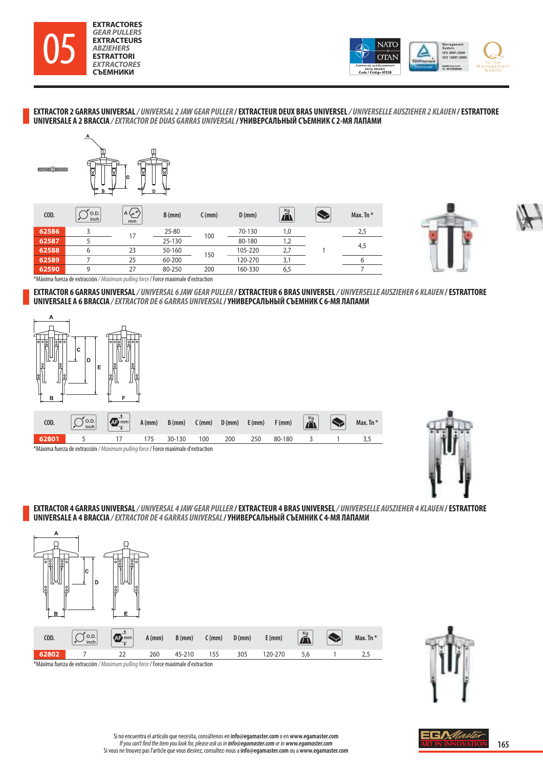



**EXTRACTOR 2 GARRAS UNIVERSAL / UNIVERSAL 2 JAW GEAR PULLER / EXTRACTEUR DEUX BRAS UNIVERSEL / UNIVERSELLE AUSZIEHER 2 KLAUEN / ESTRATTORE UNIVERSALE A 2 BRACCIA / EXTRACTOR DE DUAS GARRAS UNIVERSAL / УНИВЕРСАЛЬНЫЙ СЪЕМНИК С 2-МЯ ЛАПАМИ**



| COD.  | O.D.<br>inch | A(x)<br>mm | $B$ (mm) | $C$ (mm) | $D$ (mm) | Kg<br>Ã | Max. Tn $*$ |
|-------|--------------|------------|----------|----------|----------|---------|-------------|
| 62586 |              |            | 25-80    | 100      | 70-130   | 1,0     | 2,5         |
| 62587 |              |            | 25-130   |          | 80-180   | 1,2     |             |
| 62588 |              | 23         | 50-160   | 150      | 105-220  | 2,7     | 4,5         |
| 62589 |              | 25         | 60-200   |          | 120-270  | 3,1     |             |
| 62590 | q            | 27         | 80-250   | 200      | 160-330  | 6,5     |             |





\*Máxima fuerza de extracción / Maximum pulling force / Force maximale d'extraction

**EXTRACTOR 6 GARRAS UNIVERSAL / UNIVERSAL 6 JAW GEAR PULLER / EXTRACTEUR 6 BRAS UNIVERSEL / UNIVERSELLE AUSZIEHER 6 KLAUEN / ESTRATTORE UNIVERSALE A 6 BRACCIA / EXTRACTOR DE 6 GARRAS UNIVERSAL / УНИВЕРСАЛЬНЫЙ СЪЕМНИК С 6-МЯ ЛАПАМИ**



| COD.                                                                                     | $\left[\bigcirc \text{S.}\right]$ $\left[\bigcirc \text{S.}\right]$ $\left[\bigcirc \text{S.}\right]$ $\left[\bigcirc \text{S.}\right]$ $\left[\bigcirc \text{S.}\right]$ $\left[\bigcirc \text{S.}\right]$ $\left[\bigcirc \text{S.}\right]$ $\left[\bigcirc \text{S.}\right]$ $\left[\bigcirc \text{S.}\right]$ $\left[\bigcirc \text{S.}\right]$ $\left[\bigcirc \text{S.}\right]$ $\left[\bigcirc \text{S.}\right]$ $\left[\bigcirc \text{S.}\right]$ $\left[\bigcirc \text{S.}\right$ |  |  |  |  |     |     |            |  |  |
|------------------------------------------------------------------------------------------|--------------------------------------------------------------------------------------------------------------------------------------------------------------------------------------------------------------------------------------------------------------------------------------------------------------------------------------------------------------------------------------------------------------------------------------------------------------------------------------------|--|--|--|--|-----|-----|------------|--|--|
|                                                                                          | 62801 5 17 175 30-130 100                                                                                                                                                                                                                                                                                                                                                                                                                                                                  |  |  |  |  | 200 | 250 | 80-180 3 1 |  |  |
| Máxima fuerza de extracción / <i>Maximum nulling force /</i> Force maximale d'extraction |                                                                                                                                                                                                                                                                                                                                                                                                                                                                                            |  |  |  |  |     |     |            |  |  |



\*Máxima fuerza de extracción / Maximum pulling force / Force maximale d'extraction

**EXTRACTOR 4 GARRAS UNIVERSAL / UNIVERSAL 4 JAW GEAR PULLER / EXTRACTEUR 4 BRAS UNIVERSEL / UNIVERSELLE AUSZIEHER 4 KLAUEN / ESTRATTORE UNIVERSALE A 4 BRACCIA / EXTRACTOR DE 4 GARRAS UNIVERSAL / УНИВЕРСАЛЬНЫЙ СЪЕМНИК С 4-МЯ ЛАПАМИ**





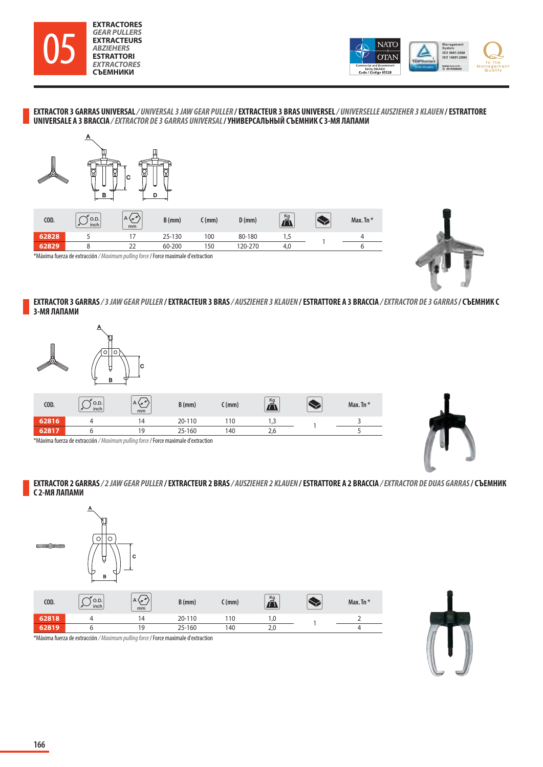



**EXTRACTOR 3 GARRAS UNIVERSAL / UNIVERSAL 3 JAW GEAR PULLER / EXTRACTEUR 3 BRAS UNIVERSEL / UNIVERSELLE AUSZIEHER 3 KLAUEN / ESTRATTORE UNIVERSALE A 3 BRACCIA / EXTRACTOR DE 3 GARRAS UNIVERSAL / УНИВЕРСАЛЬНЫЙ СЪЕМНИК С 3-МЯ ЛАПАМИ**





**EXTRACTOR 3 GARRAS / 3 JAW GEAR PULLER / EXTRACTEUR 3 BRAS / AUSZIEHER 3 KLAUEN / ESTRATTORE A 3 BRACCIA / EXTRACTOR DE 3 GARRAS / СЪЕМНИК С 3-МЯ ЛАПАМИ**



| COD.                                                                                      | O.D.<br>inch | $A \setminus z$<br>mm | $B$ (mm) | . (mm) | $\frac{Kg}{\sqrt{2}}$ |  | Max. Tn $*$ |  |
|-------------------------------------------------------------------------------------------|--------------|-----------------------|----------|--------|-----------------------|--|-------------|--|
| 62816                                                                                     |              | 14                    | 20-110   | 110    |                       |  |             |  |
| 62817                                                                                     |              | 19                    | 25-160   | 140    |                       |  |             |  |
| *Máxima fuerza de extracción / <i>Maximum pulling force</i> / Force maximale d'extraction |              |                       |          |        |                       |  |             |  |



 $\mathsf{sn}$  / Maximum pulling force /  $\mathsf{sn}$ 

**EXTRACTOR 2 GARRAS / 2 JAW GEAR PULLER / EXTRACTEUR 2 BRAS / AUSZIEHER 2 KLAUEN / ESTRATTORE A 2 BRACCIA / EXTRACTOR DE DUAS GARRAS / СЪЕМНИК С 2-МЯ ЛАПАМИ**



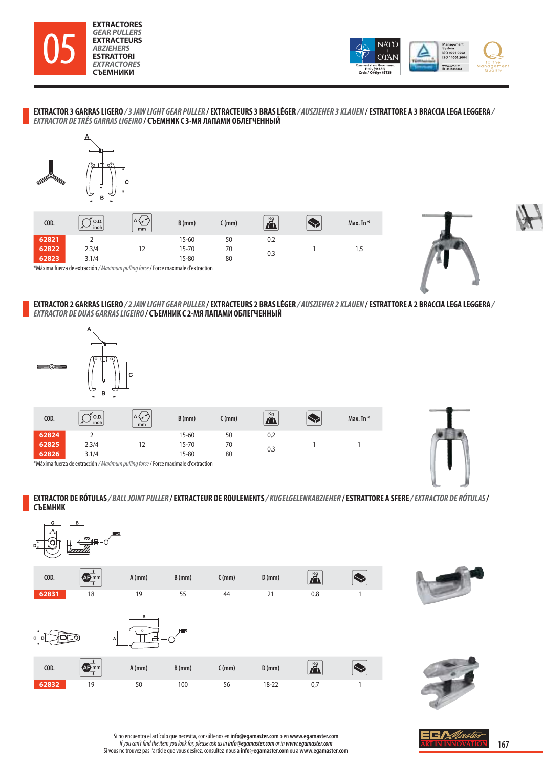



**EXTRACTOR 3 GARRAS LIGERO / 3 JAW LIGHT GEAR PULLER / EXTRACTEURS 3 BRAS LÉGER / AUSZIEHER 3 KLAUEN / ESTRATTORE A 3 BRACCIA LEGA LEGGERA / EXTRACTOR DE TRÊS GARRAS LIGEIRO / СЪЕМНИК С 3-МЯ ЛАПАМИ ОБЛЕГЧЕННЫЙ**







\*Máxima fuerza de extracción / Maximum pulling force / Force maximale d'extraction

## **EXTRACTOR 2 GARRAS LIGERO / 2 JAW LIGHT GEAR PULLER / EXTRACTEURS 2 BRAS LÉGER / AUSZIEHER 2 KLAUEN / ESTRATTORE A 2 BRACCIA LEGA LEGGERA / EXTRACTOR DE DUAS GARRAS LIGEIRO / СЪЕМНИК С 2-МЯ ЛАПАМИ ОБЛЕГЧЕННЫЙ**



| COD.  | O.D.<br>inch                                                                       | $A \left\langle \pi \right\rangle$<br>mm | $B$ (mm)  | C (mm) | $\overline{\mathbf{D}}$ |  | Max. Tn $*$ |  |
|-------|------------------------------------------------------------------------------------|------------------------------------------|-----------|--------|-------------------------|--|-------------|--|
| 62824 |                                                                                    |                                          | 15-60     | 50     | 0,2                     |  |             |  |
| 62825 | 2.3/4                                                                              |                                          | $15 - 70$ | 70     |                         |  |             |  |
| 62826 | 3.1/4                                                                              |                                          | 15-80     | 80     | 0,3                     |  |             |  |
|       | *Mávima fuerza de extracción / Mavimum nullina force / Force mavimale d'extraction |                                          |           |        |                         |  |             |  |



\*Máxima fuerza de extracción / Maximum pulling force / Force maximale d'extraction

**EXTRACTOR DE RÓTULAS / BALL JOINT PULLER / EXTRACTEUR DE ROULEMENTS / KUGELGELENKABZIEHER / ESTRATTORE A SFERE / EXTRACTOR DE RÓTULAS / СЪЕМНИК**







Si no encuentra el artículo que necesita, consúltenos en **info@egamaster.com** o en **www.egamaster.com** *If you can't find the item you look for, please ask us in info@egamaster.com or in www.egamaster.com<br>Si vous ne trouvez pas l'article que vous desirez, consultez-nous a info@egamaster.com ou a www.egamaster.com*